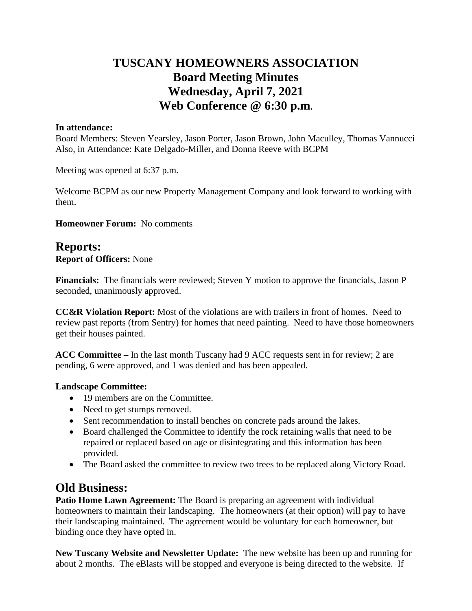## **TUSCANY HOMEOWNERS ASSOCIATION Board Meeting Minutes Wednesday, April 7, 2021 Web Conference @ 6:30 p.m.**

### **In attendance:**

Board Members: Steven Yearsley, Jason Porter, Jason Brown, John Maculley, Thomas Vannucci Also, in Attendance: Kate Delgado-Miller, and Donna Reeve with BCPM

Meeting was opened at 6:37 p.m.

Welcome BCPM as our new Property Management Company and look forward to working with them.

**Homeowner Forum:** No comments

## **Reports:**

**Report of Officers:** None

**Financials:** The financials were reviewed; Steven Y motion to approve the financials, Jason P seconded, unanimously approved.

**CC&R Violation Report:** Most of the violations are with trailers in front of homes. Need to review past reports (from Sentry) for homes that need painting. Need to have those homeowners get their houses painted.

**ACC Committee –** In the last month Tuscany had 9 ACC requests sent in for review; 2 are pending, 6 were approved, and 1 was denied and has been appealed.

### **Landscape Committee:**

- 19 members are on the Committee.
- Need to get stumps removed.
- Sent recommendation to install benches on concrete pads around the lakes.
- Board challenged the Committee to identify the rock retaining walls that need to be repaired or replaced based on age or disintegrating and this information has been provided.
- The Board asked the committee to review two trees to be replaced along Victory Road.

## **Old Business:**

**Patio Home Lawn Agreement:** The Board is preparing an agreement with individual homeowners to maintain their landscaping. The homeowners (at their option) will pay to have their landscaping maintained. The agreement would be voluntary for each homeowner, but binding once they have opted in.

**New Tuscany Website and Newsletter Update:** The new website has been up and running for about 2 months. The eBlasts will be stopped and everyone is being directed to the website. If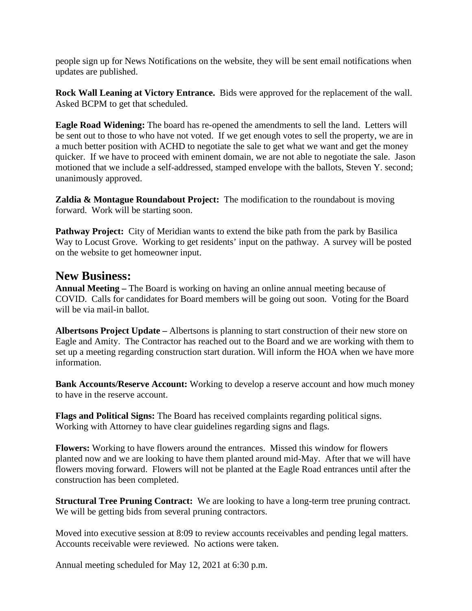people sign up for News Notifications on the website, they will be sent email notifications when updates are published.

**Rock Wall Leaning at Victory Entrance.** Bids were approved for the replacement of the wall. Asked BCPM to get that scheduled.

**Eagle Road Widening:** The board has re-opened the amendments to sell the land. Letters will be sent out to those to who have not voted. If we get enough votes to sell the property, we are in a much better position with ACHD to negotiate the sale to get what we want and get the money quicker. If we have to proceed with eminent domain, we are not able to negotiate the sale. Jason motioned that we include a self-addressed, stamped envelope with the ballots, Steven Y. second; unanimously approved.

**Zaldia & Montague Roundabout Project:** The modification to the roundabout is moving forward. Work will be starting soon.

**Pathway Project:** City of Meridian wants to extend the bike path from the park by Basilica Way to Locust Grove. Working to get residents' input on the pathway. A survey will be posted on the website to get homeowner input.

### **New Business:**

**Annual Meeting –** The Board is working on having an online annual meeting because of COVID. Calls for candidates for Board members will be going out soon. Voting for the Board will be via mail-in ballot.

**Albertsons Project Update –** Albertsons is planning to start construction of their new store on Eagle and Amity. The Contractor has reached out to the Board and we are working with them to set up a meeting regarding construction start duration. Will inform the HOA when we have more information.

**Bank Accounts/Reserve Account:** Working to develop a reserve account and how much money to have in the reserve account.

**Flags and Political Signs:** The Board has received complaints regarding political signs. Working with Attorney to have clear guidelines regarding signs and flags.

**Flowers:** Working to have flowers around the entrances. Missed this window for flowers planted now and we are looking to have them planted around mid-May. After that we will have flowers moving forward. Flowers will not be planted at the Eagle Road entrances until after the construction has been completed.

**Structural Tree Pruning Contract:** We are looking to have a long-term tree pruning contract. We will be getting bids from several pruning contractors.

Moved into executive session at 8:09 to review accounts receivables and pending legal matters. Accounts receivable were reviewed. No actions were taken.

Annual meeting scheduled for May 12, 2021 at 6:30 p.m.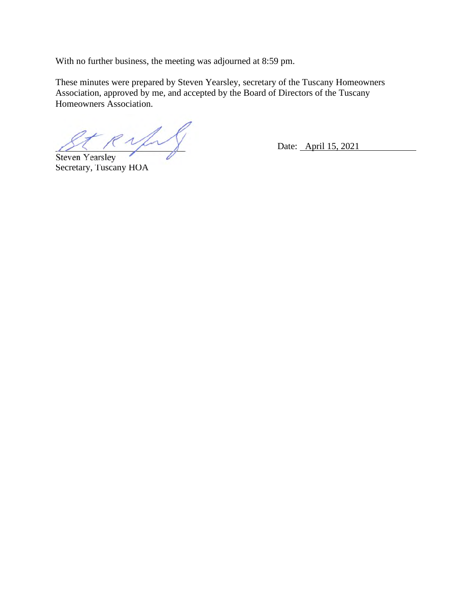With no further business, the meeting was adjourned at 8:59 pm.

These minutes were prepared by Steven Yearsley, secretary of the Tuscany Homeowners Association, approved by me, and accepted by the Board of Directors of the Tuscany Homeowners Association.

 $R\sqrt{1-\gamma}$  Date: April 15, 2021

Steven Yearsley Secretary, Tuscany HOA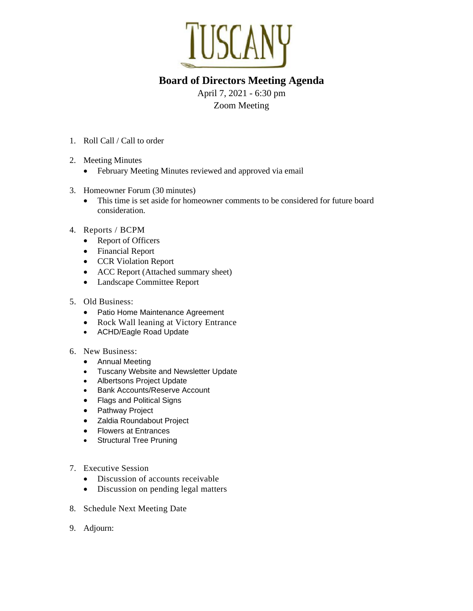

## **Board of Directors Meeting Agenda**

April 7, 2021 - 6:30 pm Zoom Meeting

- 1. Roll Call / Call to order
- 2. Meeting Minutes
	- February Meeting Minutes reviewed and approved via email
- 3. Homeowner Forum (30 minutes)
	- This time is set aside for homeowner comments to be considered for future board consideration.
- 4. Reports / BCPM
	- Report of Officers
	- Financial Report
	- CCR Violation Report
	- ACC Report (Attached summary sheet)
	- Landscape Committee Report
- 5. Old Business:
	- Patio Home Maintenance Agreement
	- Rock Wall leaning at Victory Entrance
	- ACHD/Eagle Road Update
- 6. New Business:
	- Annual Meeting
	- Tuscany Website and Newsletter Update
	- Albertsons Project Update
	- Bank Accounts/Reserve Account
	- Flags and Political Signs
	- Pathway Project
	- Zaldia Roundabout Project
	- Flowers at Entrances
	- Structural Tree Pruning
- 7. Executive Session
	- Discussion of accounts receivable
	- Discussion on pending legal matters
- 8. Schedule Next Meeting Date
- 9. Adjourn: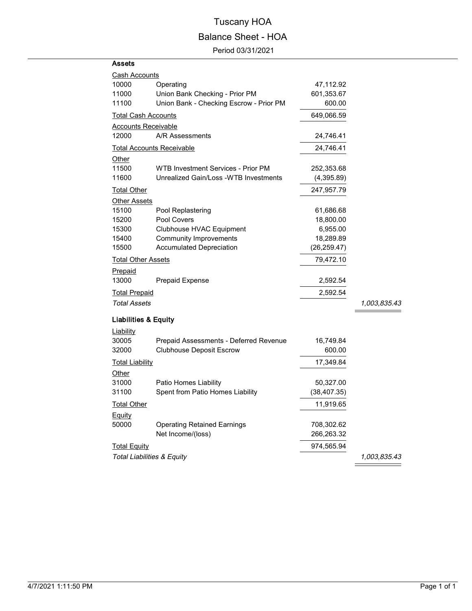# Tuscany HOA Balance Sheet - HOA

Period 03/31/2021

#### **Assets**

| <b>Cash Accounts</b>             |                                         |              |              |
|----------------------------------|-----------------------------------------|--------------|--------------|
| 10000                            | Operating                               | 47,112.92    |              |
| 11000                            | Union Bank Checking - Prior PM          | 601,353.67   |              |
| 11100                            | Union Bank - Checking Escrow - Prior PM | 600.00       |              |
| <u>Total Cash Accounts</u>       |                                         | 649,066.59   |              |
| <b>Accounts Receivable</b>       |                                         |              |              |
| 12000                            | A/R Assessments                         | 24,746.41    |              |
| <b>Total Accounts Receivable</b> |                                         | 24,746.41    |              |
| Other                            |                                         |              |              |
| 11500                            | WTB Investment Services - Prior PM      | 252,353.68   |              |
| 11600                            | Unrealized Gain/Loss - WTB Investments  | (4,395.89)   |              |
| Total Other                      |                                         | 247,957.79   |              |
| <b>Other Assets</b>              |                                         |              |              |
| 15100                            | Pool Replastering                       | 61,686.68    |              |
| 15200                            | Pool Covers                             | 18,800.00    |              |
| 15300                            | Clubhouse HVAC Equipment                | 6,955.00     |              |
| 15400                            | <b>Community Improvements</b>           | 18,289.89    |              |
| 15500                            | <b>Accumulated Depreciation</b>         | (26, 259.47) |              |
| <b>Total Other Assets</b>        |                                         | 79,472.10    |              |
| Prepaid                          |                                         |              |              |
| 13000                            | Prepaid Expense                         | 2,592.54     |              |
| <b>Total Prepaid</b>             |                                         | 2,592.54     |              |
| <b>Total Assets</b>              |                                         |              | 1,003,835.43 |
| <b>Liabilities &amp; Equity</b>  |                                         |              |              |
| Liability                        |                                         |              |              |
| 30005                            | Prepaid Assessments - Deferred Revenue  | 16,749.84    |              |
| 32000                            | <b>Clubhouse Deposit Escrow</b>         | 600.00       |              |
| <b>Total Liability</b>           |                                         | 17,349.84    |              |
| Other                            |                                         |              |              |
| 31000                            | Patio Homes Liability                   | 50,327.00    |              |
| 31100                            | Spent from Patio Homes Liability        | (38, 407.35) |              |
| <b>Total Other</b>               |                                         | 11,919.65    |              |
| Equity                           |                                         |              |              |
| 50000                            | <b>Operating Retained Earnings</b>      | 708,302.62   |              |
|                                  | Net Income/(loss)                       | 266,263.32   |              |
| <b>Total Equity</b>              |                                         | 974,565.94   |              |

*Total Liabilities & Equity 1,003,835.43*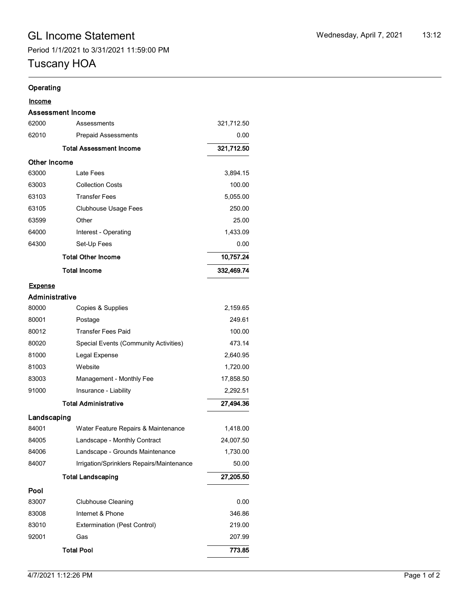## Tuscany HOA

### **Operating**

|              | <b>Assessment Income</b>       |            |
|--------------|--------------------------------|------------|
| 62000        | Assessments                    | 321,712.50 |
| 62010        | <b>Prepaid Assessments</b>     | 0.00       |
|              | <b>Total Assessment Income</b> | 321,712.50 |
| Other Income |                                |            |
| 63000        | Late Fees                      | 3.894.15   |
| 63003        | <b>Collection Costs</b>        | 100.00     |
| 63103        | <b>Transfer Fees</b>           | 5,055.00   |
| 63105        | Clubhouse Usage Fees           | 250.00     |
| 63599        | Other                          | 25.00      |
| 64000        | Interest - Operating           | 1,433.09   |
| 64300        | Set-Up Fees                    | 0.00       |
|              | <b>Total Other Income</b>      | 10,757.24  |
|              | <b>Total Income</b>            | 332,469.74 |

#### **Expense**

| Administrative |                                           |           |  |  |  |
|----------------|-------------------------------------------|-----------|--|--|--|
| 80000          | Copies & Supplies                         | 2,159.65  |  |  |  |
| 80001          | Postage                                   | 249.61    |  |  |  |
| 80012          | <b>Transfer Fees Paid</b>                 | 100.00    |  |  |  |
| 80020          | Special Events (Community Activities)     | 473.14    |  |  |  |
| 81000          | Legal Expense                             | 2,640.95  |  |  |  |
| 81003          | Website                                   | 1,720.00  |  |  |  |
| 83003          | Management - Monthly Fee                  | 17,858.50 |  |  |  |
| 91000          | Insurance - Liability                     | 2,292.51  |  |  |  |
|                | <b>Total Administrative</b>               | 27,494.36 |  |  |  |
| Landscaping    |                                           |           |  |  |  |
| 84001          | Water Feature Repairs & Maintenance       | 1,418.00  |  |  |  |
| 84005          | Landscape - Monthly Contract              | 24,007.50 |  |  |  |
| 84006          | Landscape - Grounds Maintenance           | 1,730.00  |  |  |  |
| 84007          | Irrigation/Sprinklers Repairs/Maintenance |           |  |  |  |
|                | <b>Total Landscaping</b>                  | 27,205.50 |  |  |  |
| Pool           |                                           |           |  |  |  |
| 83007          | <b>Clubhouse Cleaning</b>                 | 0.00      |  |  |  |
| 83008          | Internet & Phone                          | 346.86    |  |  |  |
| 83010          | <b>Extermination (Pest Control)</b>       | 219.00    |  |  |  |
| 92001          | Gas                                       | 207.99    |  |  |  |
|                | <b>Total Pool</b>                         | 773.85    |  |  |  |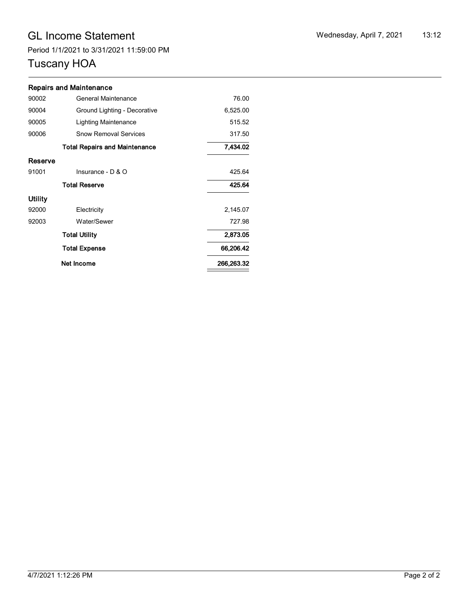# GL Income Statement Wednesday, April 7, 2021 13:12

Period 1/1/2021 to 3/31/2021 11:59:00 PM

# Tuscany HOA

| Wednesday, April 7, 2021 | 13:12 |
|--------------------------|-------|
|--------------------------|-------|

|                | <b>Repairs and Maintenance</b>       |          |
|----------------|--------------------------------------|----------|
| 90002          | 76.00                                |          |
| 90004          | Ground Lighting - Decorative         | 6,525.00 |
| 90005          | Lighting Maintenance                 | 515.52   |
| 90006          | 317.50                               |          |
|                | <b>Total Repairs and Maintenance</b> | 7,434.02 |
| Reserve        |                                      |          |
| 91001          | Insurance - D & O                    | 425.64   |
|                | 425.64                               |          |
| <b>Utility</b> |                                      |          |
| 92000          | Electricity                          | 2,145.07 |
| 92003          | Water/Sewer                          | 727.98   |
|                | 2,873.05                             |          |
|                | 66,206.42                            |          |
|                | 266,263.32                           |          |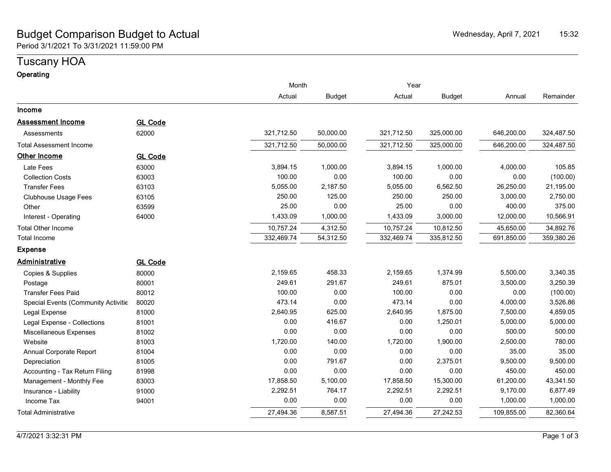### Budget Comparison Budget to Actual New York New York Nederlandship and Mednesday, April 7, 2021 15:32 Period 3/1/2021 To 3/31/2021 11:59:00 PM

# Tuscany HOA

| Operating |  |
|-----------|--|
|           |  |

|                                     |                |            | Month         |            | Year          |            |            |
|-------------------------------------|----------------|------------|---------------|------------|---------------|------------|------------|
|                                     |                | Actual     | <b>Budget</b> | Actual     | <b>Budget</b> | Annual     | Remainder  |
| Income                              |                |            |               |            |               |            |            |
| <b>Assessment Income</b>            | <b>GL Code</b> |            |               |            |               |            |            |
| Assessments                         | 62000          | 321,712.50 | 50,000.00     | 321,712.50 | 325,000.00    | 646,200.00 | 324,487.50 |
| Total Assessment Income             |                | 321,712.50 | 50,000.00     | 321,712.50 | 325,000.00    | 646,200.00 | 324,487.50 |
| <b>Other Income</b>                 | <b>GL Code</b> |            |               |            |               |            |            |
| Late Fees                           | 63000          | 3,894.15   | 1,000.00      | 3,894.15   | 1,000.00      | 4,000.00   | 105.85     |
| <b>Collection Costs</b>             | 63003          | 100.00     | 0.00          | 100.00     | 0.00          | 0.00       | (100.00)   |
| <b>Transfer Fees</b>                | 63103          | 5,055.00   | 2,187.50      | 5,055.00   | 6,562.50      | 26,250.00  | 21,195.00  |
| <b>Clubhouse Usage Fees</b>         | 63105          | 250.00     | 125.00        | 250.00     | 250.00        | 3,000.00   | 2,750.00   |
| Other                               | 63599          | 25.00      | 0.00          | 25.00      | 0.00          | 400.00     | 375.00     |
| Interest - Operating                | 64000          | 1,433.09   | 1,000.00      | 1,433.09   | 3,000.00      | 12,000.00  | 10,566.91  |
| <b>Total Other Income</b>           |                | 10,757.24  | 4,312.50      | 10,757.24  | 10,812.50     | 45,650.00  | 34,892.76  |
| Total Income                        |                | 332,469.74 | 54,312.50     | 332,469.74 | 335,812.50    | 691,850.00 | 359,380.26 |
| <b>Expense</b>                      |                |            |               |            |               |            |            |
| Administrative                      | <b>GL Code</b> |            |               |            |               |            |            |
| Copies & Supplies                   | 80000          | 2,159.65   | 458.33        | 2,159.65   | 1,374.99      | 5,500.00   | 3,340.35   |
| Postage                             | 80001          | 249.61     | 291.67        | 249.61     | 875.01        | 3,500.00   | 3,250.39   |
| <b>Transfer Fees Paid</b>           | 80012          | 100.00     | 0.00          | 100.00     | 0.00          | 0.00       | (100.00)   |
| Special Events (Community Activitie | 80020          | 473.14     | 0.00          | 473.14     | 0.00          | 4,000.00   | 3,526.86   |
| Legal Expense                       | 81000          | 2,640.95   | 625.00        | 2,640.95   | 1,875.00      | 7,500.00   | 4,859.05   |
| Legal Expense - Collections         | 81001          | 0.00       | 416.67        | 0.00       | 1,250.01      | 5,000.00   | 5,000.00   |
| Miscellaneous Expenses              | 81002          | 0.00       | 0.00          | 0.00       | 0.00          | 500.00     | 500.00     |
| Website                             | 81003          | 1,720.00   | 140.00        | 1,720.00   | 1,900.00      | 2,500.00   | 780.00     |
| Annual Corporate Report             | 81004          | 0.00       | 0.00          | 0.00       | 0.00          | 35.00      | 35.00      |
| Depreciation                        | 81005          | 0.00       | 791.67        | 0.00       | 2,375.01      | 9,500.00   | 9,500.00   |
| Accounting - Tax Return Filing      | 81998          | 0.00       | 0.00          | 0.00       | 0.00          | 450.00     | 450.00     |
| Management - Monthly Fee            | 83003          | 17,858.50  | 5,100.00      | 17,858.50  | 15,300.00     | 61,200.00  | 43,341.50  |
| Insurance - Liability               | 91000          | 2,292.51   | 764.17        | 2,292.51   | 2,292.51      | 9,170.00   | 6,877.49   |
| Income Tax                          | 94001          | 0.00       | 0.00          | 0.00       | 0.00          | 1,000.00   | 1,000.00   |
| <b>Total Administrative</b>         |                | 27,494.36  | 8,587.51      | 27,494.36  | 27,242.53     | 109,855.00 | 82,360.64  |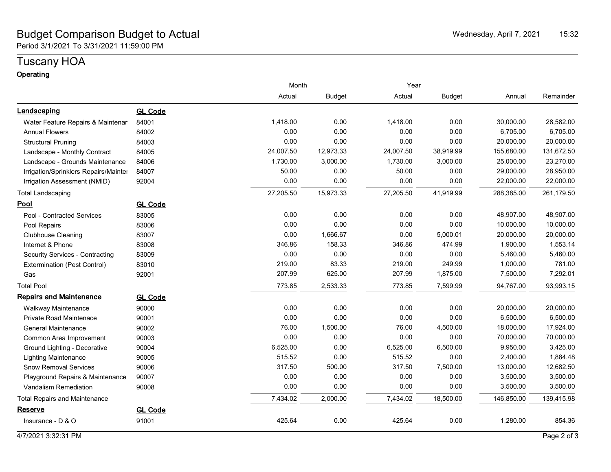### Budget Comparison Budget to Actual New York New York Nederlandship and Mednesday, April 7, 2021 15:32 Period 3/1/2021 To 3/31/2021 11:59:00 PM

# Tuscany HOA

### **Operating**

|                                        |                | Month     |               | Year      |               |            |            |  |
|----------------------------------------|----------------|-----------|---------------|-----------|---------------|------------|------------|--|
|                                        |                | Actual    | <b>Budget</b> | Actual    | <b>Budget</b> | Annual     | Remainder  |  |
| Landscaping                            | <b>GL Code</b> |           |               |           |               |            |            |  |
| Water Feature Repairs & Maintenar      | 84001          | 1,418.00  | 0.00          | 1,418.00  | 0.00          | 30,000.00  | 28,582.00  |  |
| <b>Annual Flowers</b>                  | 84002          | 0.00      | 0.00          | 0.00      | 0.00          | 6,705.00   | 6,705.00   |  |
| <b>Structural Pruning</b>              | 84003          | 0.00      | 0.00          | 0.00      | 0.00          | 20,000.00  | 20,000.00  |  |
| Landscape - Monthly Contract           | 84005          | 24,007.50 | 12,973.33     | 24,007.50 | 38,919.99     | 155,680.00 | 131,672.50 |  |
| Landscape - Grounds Maintenance        | 84006          | 1,730.00  | 3,000.00      | 1,730.00  | 3,000.00      | 25,000.00  | 23,270.00  |  |
| Irrigation/Sprinklers Repairs/Mainter  | 84007          | 50.00     | 0.00          | 50.00     | 0.00          | 29,000.00  | 28,950.00  |  |
| Irrigation Assessment (NMID)           | 92004          | 0.00      | 0.00          | 0.00      | 0.00          | 22,000.00  | 22,000.00  |  |
| <b>Total Landscaping</b>               |                | 27,205.50 | 15,973.33     | 27,205.50 | 41,919.99     | 288,385.00 | 261,179.50 |  |
| <u>Pool</u>                            | <b>GL Code</b> |           |               |           |               |            |            |  |
| Pool - Contracted Services             | 83005          | 0.00      | 0.00          | 0.00      | 0.00          | 48,907.00  | 48,907.00  |  |
| Pool Repairs                           | 83006          | 0.00      | 0.00          | 0.00      | 0.00          | 10,000.00  | 10,000.00  |  |
| <b>Clubhouse Cleaning</b>              | 83007          | 0.00      | 1,666.67      | 0.00      | 5,000.01      | 20,000.00  | 20,000.00  |  |
| Internet & Phone                       | 83008          | 346.86    | 158.33        | 346.86    | 474.99        | 1,900.00   | 1,553.14   |  |
| <b>Security Services - Contracting</b> | 83009          | 0.00      | 0.00          | 0.00      | 0.00          | 5,460.00   | 5,460.00   |  |
| Extermination (Pest Control)           | 83010          | 219.00    | 83.33         | 219.00    | 249.99        | 1,000.00   | 781.00     |  |
| Gas                                    | 92001          | 207.99    | 625.00        | 207.99    | 1,875.00      | 7,500.00   | 7,292.01   |  |
| <b>Total Pool</b>                      |                | 773.85    | 2,533.33      | 773.85    | 7,599.99      | 94,767.00  | 93,993.15  |  |
| <b>Repairs and Maintenance</b>         | <b>GL Code</b> |           |               |           |               |            |            |  |
| <b>Walkway Maintenance</b>             | 90000          | 0.00      | 0.00          | 0.00      | 0.00          | 20,000.00  | 20,000.00  |  |
| <b>Private Road Maintenace</b>         | 90001          | 0.00      | 0.00          | 0.00      | 0.00          | 6,500.00   | 6,500.00   |  |
| <b>General Maintenance</b>             | 90002          | 76.00     | 1,500.00      | 76.00     | 4,500.00      | 18,000.00  | 17,924.00  |  |
| Common Area Improvement                | 90003          | 0.00      | 0.00          | 0.00      | 0.00          | 70,000.00  | 70,000.00  |  |
| Ground Lighting - Decorative           | 90004          | 6,525.00  | 0.00          | 6,525.00  | 6,500.00      | 9,950.00   | 3,425.00   |  |
| <b>Lighting Maintenance</b>            | 90005          | 515.52    | 0.00          | 515.52    | 0.00          | 2,400.00   | 1,884.48   |  |
| <b>Snow Removal Services</b>           | 90006          | 317.50    | 500.00        | 317.50    | 7,500.00      | 13,000.00  | 12,682.50  |  |
| Playground Repairs & Maintenance       | 90007          | 0.00      | 0.00          | 0.00      | 0.00          | 3,500.00   | 3,500.00   |  |
| Vandalism Remediation                  | 90008          | 0.00      | 0.00          | 0.00      | 0.00          | 3,500.00   | 3,500.00   |  |
| <b>Total Repairs and Maintenance</b>   |                | 7,434.02  | 2,000.00      | 7,434.02  | 18,500.00     | 146,850.00 | 139,415.98 |  |
| <b>Reserve</b>                         | <b>GL Code</b> |           |               |           |               |            |            |  |
| Insurance - D & O                      | 91001          | 425.64    | 0.00          | 425.64    | 0.00          | 1,280.00   | 854.36     |  |